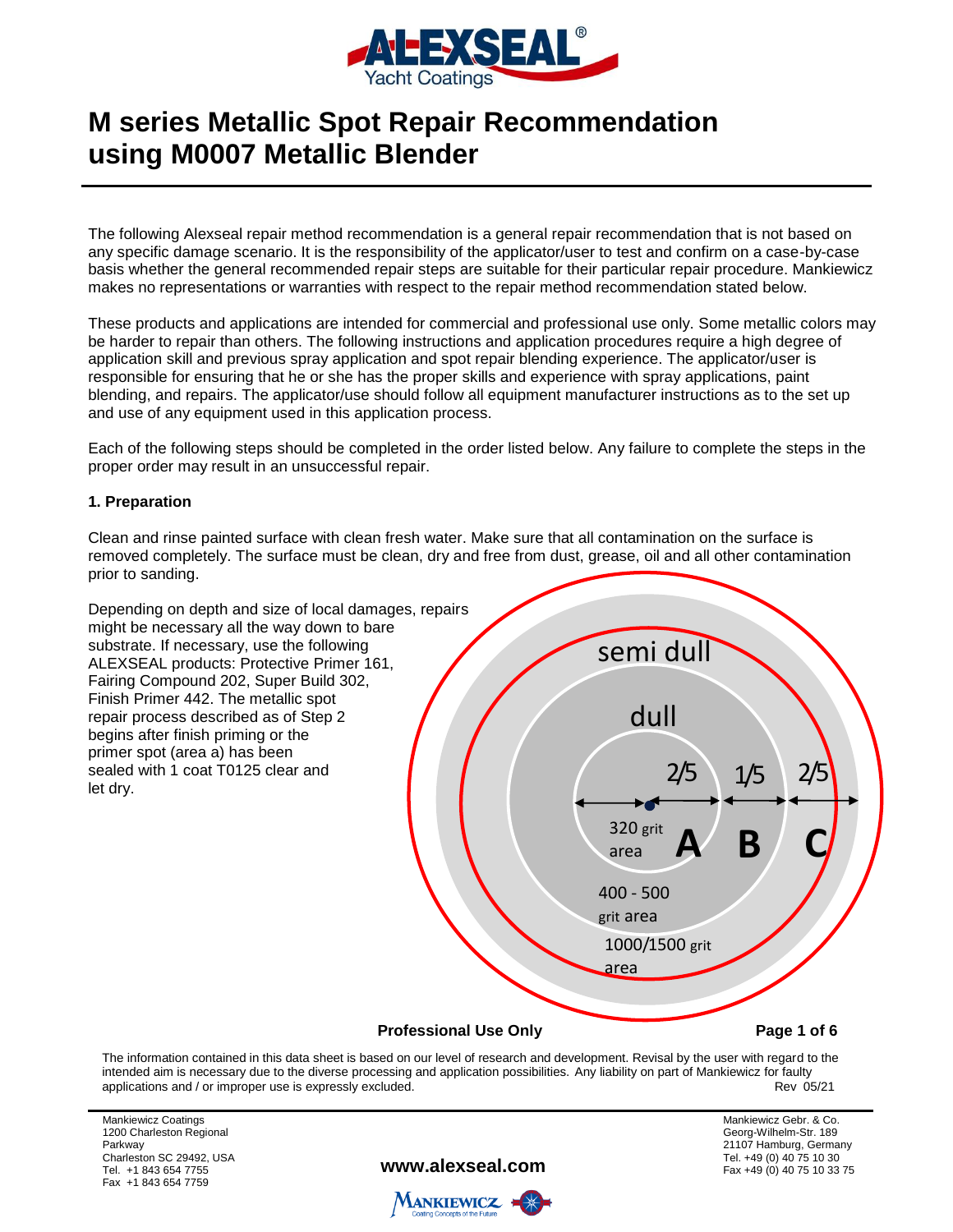

The following Alexseal repair method recommendation is a general repair recommendation that is not based on any specific damage scenario. It is the responsibility of the applicator/user to test and confirm on a case-by-case basis whether the general recommended repair steps are suitable for their particular repair procedure. Mankiewicz makes no representations or warranties with respect to the repair method recommendation stated below.

These products and applications are intended for commercial and professional use only. Some metallic colors may be harder to repair than others. The following instructions and application procedures require a high degree of application skill and previous spray application and spot repair blending experience. The applicator/user is responsible for ensuring that he or she has the proper skills and experience with spray applications, paint blending, and repairs. The applicator/use should follow all equipment manufacturer instructions as to the set up and use of any equipment used in this application process.

Each of the following steps should be completed in the order listed below. Any failure to complete the steps in the proper order may result in an unsuccessful repair.

#### **1. Preparation**

Clean and rinse painted surface with clean fresh water. Make sure that all contamination on the surface is removed completely. The surface must be clean, dry and free from dust, grease, oil and all other contamination prior to sanding.



The information contained in this data sheet is based on our level of research and development. Revisal by the user with regard to the intended aim is necessary due to the diverse processing and application possibilities. Any liability on part of Mankiewicz for faulty<br>Rev 05/21 applications and / or improper use is expressly excluded.

Mankiewicz Coatings 1200 Charleston Regional Parkway Charleston SC 29492, USA Tel. +1 843 654 7755 Fax +1 843 654 7759

**www.alexseal.com**

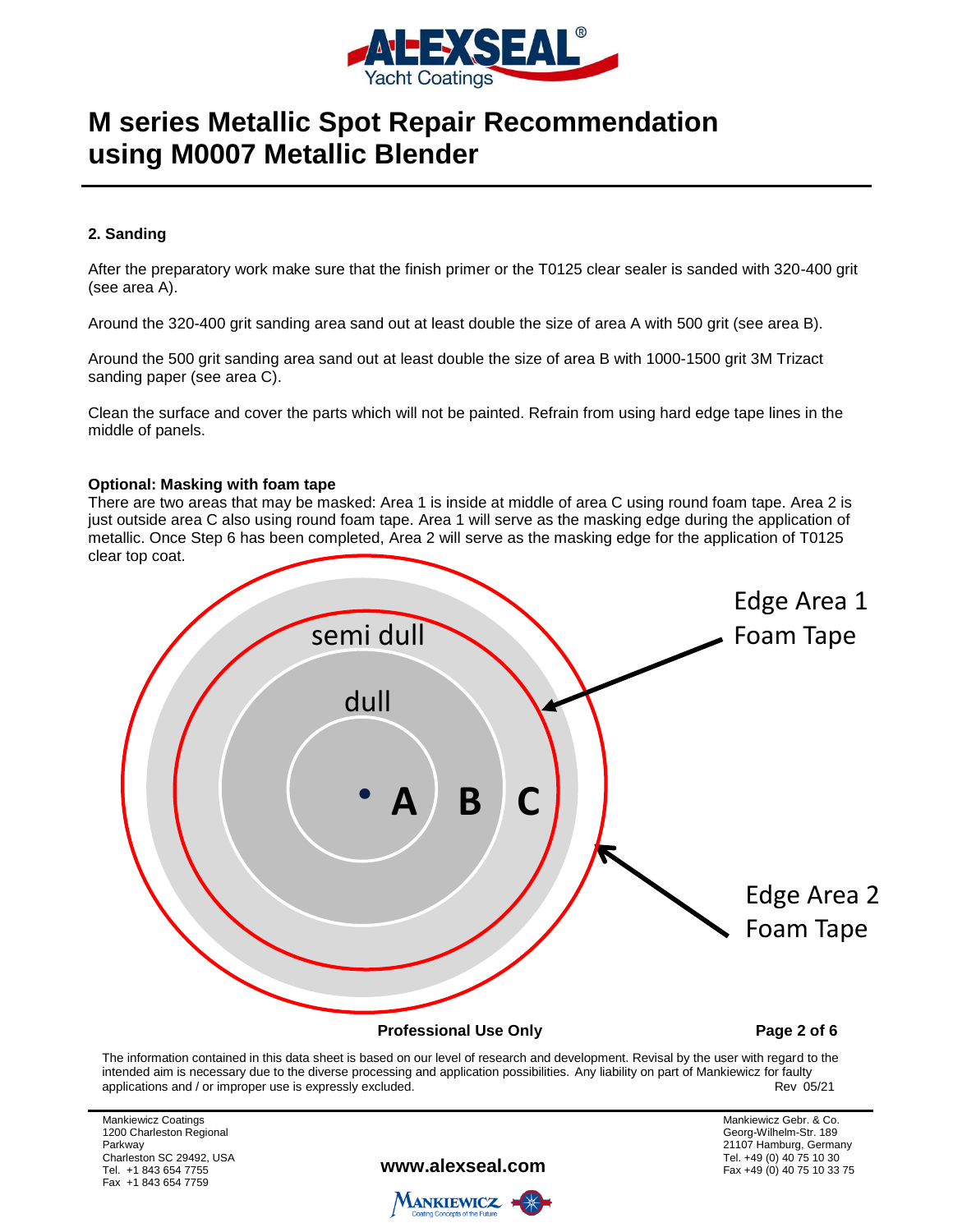

### **2. Sanding**

After the preparatory work make sure that the finish primer or the T0125 clear sealer is sanded with 320-400 grit (see area A).

Around the 320-400 grit sanding area sand out at least double the size of area A with 500 grit (see area B).

Around the 500 grit sanding area sand out at least double the size of area B with 1000-1500 grit 3M Trizact sanding paper (see area C).

Clean the surface and cover the parts which will not be painted. Refrain from using hard edge tape lines in the middle of panels.

#### **Optional: Masking with foam tape**

There are two areas that may be masked: Area 1 is inside at middle of area C using round foam tape. Area 2 is just outside area C also using round foam tape. Area 1 will serve as the masking edge during the application of metallic. Once Step 6 has been completed, Area 2 will serve as the masking edge for the application of T0125 clear top coat.



The information contained in this data sheet is based on our level of research and development. Revisal by the user with regard to the intended aim is necessary due to the diverse processing and application possibilities. Any liability on part of Mankiewicz for faulty<br>Rev 05/21 applications and / or improper use is expressly excluded.

Mankiewicz Coatings 1200 Charleston Regional Parkway Charleston SC 29492, USA Tel. +1 843 654 7755 Fax +1 843 654 7759

**www.alexseal.com**

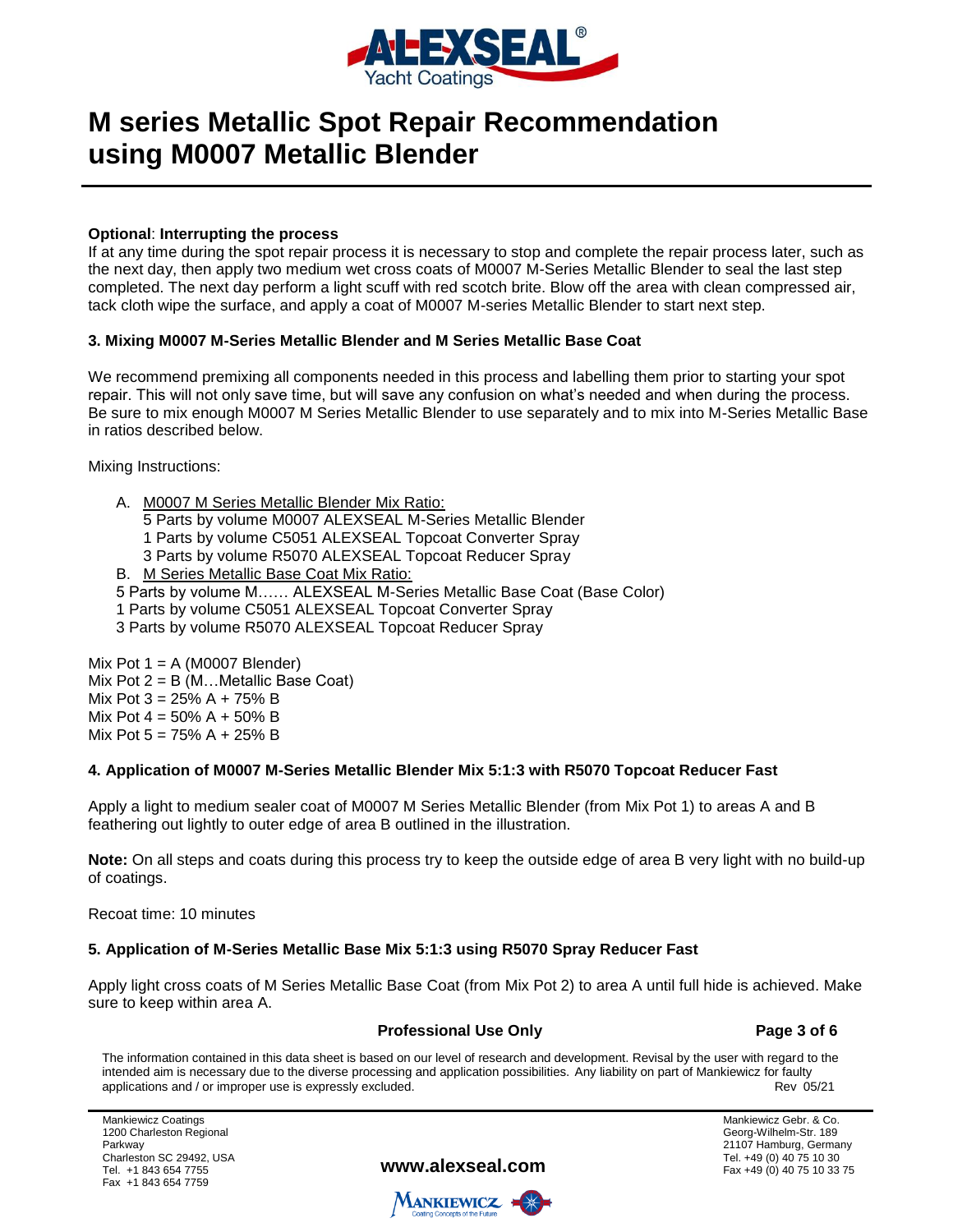

#### **Optional**: **Interrupting the process**

If at any time during the spot repair process it is necessary to stop and complete the repair process later, such as the next day, then apply two medium wet cross coats of M0007 M-Series Metallic Blender to seal the last step completed. The next day perform a light scuff with red scotch brite. Blow off the area with clean compressed air, tack cloth wipe the surface, and apply a coat of M0007 M-series Metallic Blender to start next step.

#### **3. Mixing M0007 M-Series Metallic Blender and M Series Metallic Base Coat**

We recommend premixing all components needed in this process and labelling them prior to starting your spot repair. This will not only save time, but will save any confusion on what's needed and when during the process. Be sure to mix enough M0007 M Series Metallic Blender to use separately and to mix into M-Series Metallic Base in ratios described below.

Mixing Instructions:

|                                            | A. M0007 M Series Metallic Blender Mix Ratio:                         |
|--------------------------------------------|-----------------------------------------------------------------------|
|                                            | 5 Parts by volume M0007 ALEXSEAL M-Series Metallic Blender            |
|                                            | 1 Parts by volume C5051 ALEXSEAL Topcoat Converter Spray              |
|                                            | 3 Parts by volume R5070 ALEXSEAL Topcoat Reducer Spray                |
|                                            | B. M Series Metallic Base Coat Mix Ratio:                             |
|                                            | 5 Parts by volume M ALEXSEAL M-Series Metallic Base Coat (Base Color) |
|                                            | 1 Parts by volume C5051 ALEXSEAL Topcoat Converter Spray              |
|                                            | 3 Parts by volume R5070 ALEXSEAL Topcoat Reducer Spray                |
|                                            |                                                                       |
| $\mathbb{R}$ Det 4 $\land$ (MOOOT Diander) |                                                                       |

Mix Pot  $1 = A (M0007$  Blender) Mix Pot  $2 = B$  (M... Metallic Base Coat) Mix Pot  $3 = 25\%$  A + 75% B Mix Pot  $4 = 50\%$  A + 50% B Mix Pot  $5 = 75\%$  A + 25% B

### **4. Application of M0007 M-Series Metallic Blender Mix 5:1:3 with R5070 Topcoat Reducer Fast**

Apply a light to medium sealer coat of M0007 M Series Metallic Blender (from Mix Pot 1) to areas A and B feathering out lightly to outer edge of area B outlined in the illustration.

**Note:** On all steps and coats during this process try to keep the outside edge of area B very light with no build-up of coatings.

Recoat time: 10 minutes

### **5. Application of M-Series Metallic Base Mix 5:1:3 using R5070 Spray Reducer Fast**

Apply light cross coats of M Series Metallic Base Coat (from Mix Pot 2) to area A until full hide is achieved. Make sure to keep within area A.

#### **Professional Use Only Page 3 of 6**

The information contained in this data sheet is based on our level of research and development. Revisal by the user with regard to the intended aim is necessary due to the diverse processing and application possibilities. Any liability on part of Mankiewicz for faulty<br>Rev 05/21 applications and / or improper use is expressly excluded.

Mankiewicz Coatings 1200 Charleston Regional Parkway Charleston SC 29492, USA Tel. +1 843 654 7755 Fax +1 843 654 7759

**www.alexseal.com**

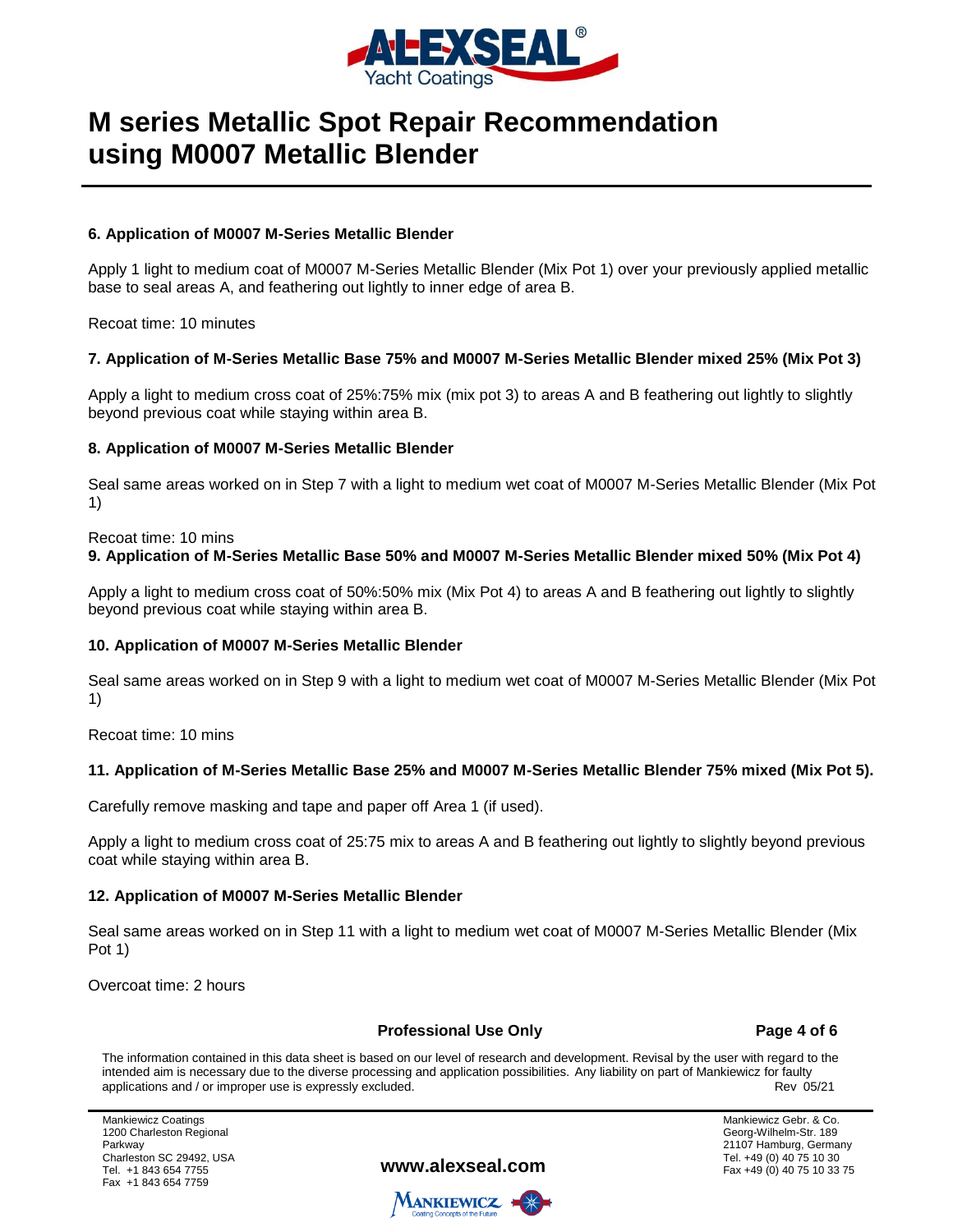

#### **6. Application of M0007 M-Series Metallic Blender**

Apply 1 light to medium coat of M0007 M-Series Metallic Blender (Mix Pot 1) over your previously applied metallic base to seal areas A, and feathering out lightly to inner edge of area B.

Recoat time: 10 minutes

#### **7. Application of M-Series Metallic Base 75% and M0007 M-Series Metallic Blender mixed 25% (Mix Pot 3)**

Apply a light to medium cross coat of 25%:75% mix (mix pot 3) to areas A and B feathering out lightly to slightly beyond previous coat while staying within area B.

#### **8. Application of M0007 M-Series Metallic Blender**

Seal same areas worked on in Step 7 with a light to medium wet coat of M0007 M-Series Metallic Blender (Mix Pot 1)

Recoat time: 10 mins

#### **9. Application of M-Series Metallic Base 50% and M0007 M-Series Metallic Blender mixed 50% (Mix Pot 4)**

Apply a light to medium cross coat of 50%:50% mix (Mix Pot 4) to areas A and B feathering out lightly to slightly beyond previous coat while staying within area B.

### **10. Application of M0007 M-Series Metallic Blender**

Seal same areas worked on in Step 9 with a light to medium wet coat of M0007 M-Series Metallic Blender (Mix Pot 1)

Recoat time: 10 mins

### **11. Application of M-Series Metallic Base 25% and M0007 M-Series Metallic Blender 75% mixed (Mix Pot 5).**

Carefully remove masking and tape and paper off Area 1 (if used).

Apply a light to medium cross coat of 25:75 mix to areas A and B feathering out lightly to slightly beyond previous coat while staying within area B.

#### **12. Application of M0007 M-Series Metallic Blender**

Seal same areas worked on in Step 11 with a light to medium wet coat of M0007 M-Series Metallic Blender (Mix Pot 1)

Overcoat time: 2 hours

#### **Professional Use Only Page 4 of 6**

The information contained in this data sheet is based on our level of research and development. Revisal by the user with regard to the intended aim is necessary due to the diverse processing and application possibilities. Any liability on part of Mankiewicz for faulty<br>Rev 05/21 applications and / or improper use is expressly excluded.

Mankiewicz Coatings 1200 Charleston Regional Parkway Charleston SC 29492, USA Tel. +1 843 654 7755 Fax +1 843 654 7759

**www.alexseal.com**

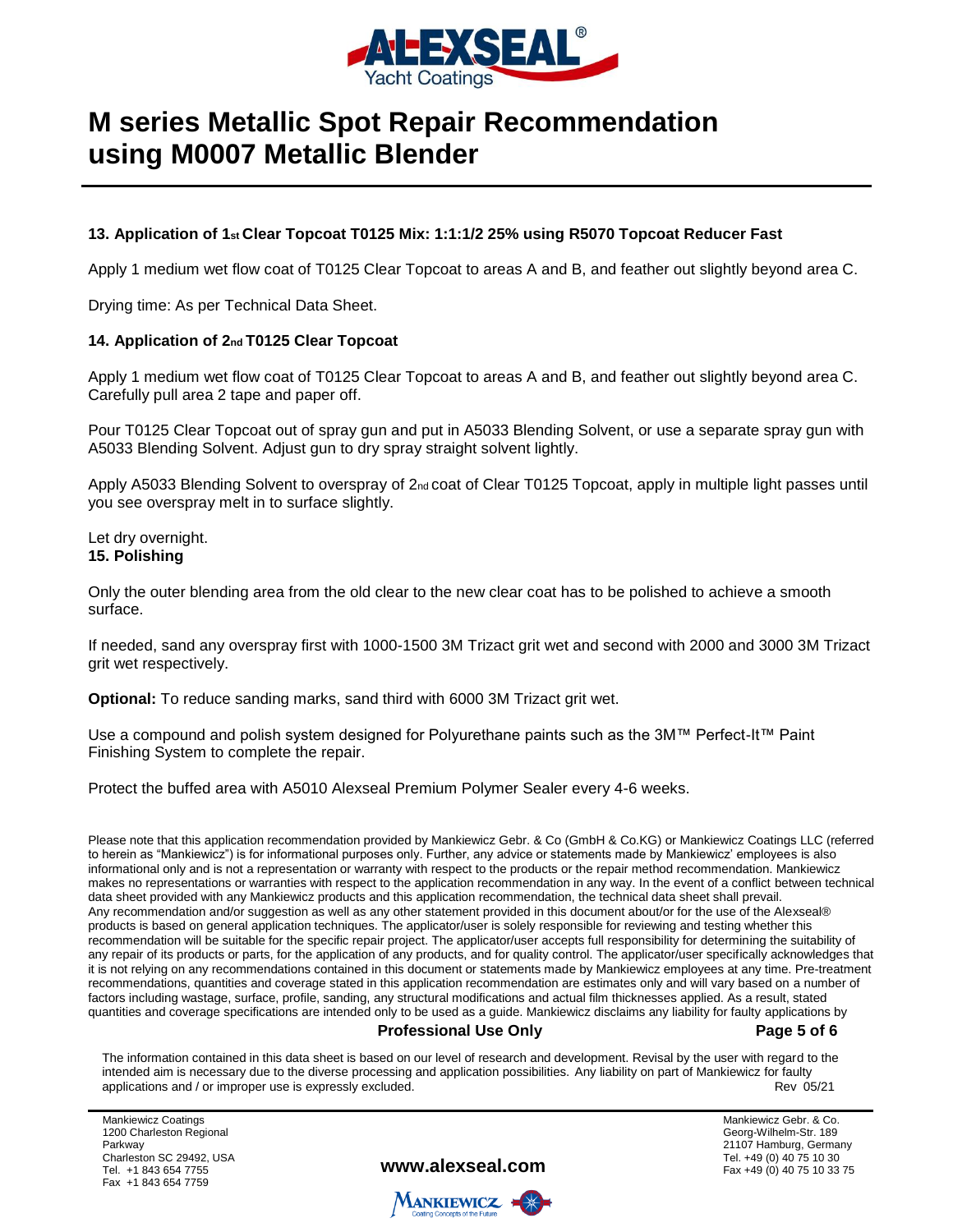

#### **13. Application of 1st Clear Topcoat T0125 Mix: 1:1:1/2 25% using R5070 Topcoat Reducer Fast**

Apply 1 medium wet flow coat of T0125 Clear Topcoat to areas A and B, and feather out slightly beyond area C.

Drying time: As per Technical Data Sheet.

#### **14. Application of 2nd T0125 Clear Topcoat**

Apply 1 medium wet flow coat of T0125 Clear Topcoat to areas A and B, and feather out slightly beyond area C. Carefully pull area 2 tape and paper off.

Pour T0125 Clear Topcoat out of spray gun and put in A5033 Blending Solvent, or use a separate spray gun with A5033 Blending Solvent. Adjust gun to dry spray straight solvent lightly.

Apply A5033 Blending Solvent to overspray of 2<sub>nd</sub> coat of Clear T0125 Topcoat, apply in multiple light passes until you see overspray melt in to surface slightly.

Let dry overnight. **15. Polishing** 

Only the outer blending area from the old clear to the new clear coat has to be polished to achieve a smooth surface.

If needed, sand any overspray first with 1000-1500 3M Trizact grit wet and second with 2000 and 3000 3M Trizact grit wet respectively.

**Optional:** To reduce sanding marks, sand third with 6000 3M Trizact grit wet.

Use a compound and polish system designed for Polyurethane paints such as the 3M™ Perfect-It™ Paint Finishing System to complete the repair.

Protect the buffed area with A5010 Alexseal Premium Polymer Sealer every 4-6 weeks.

Please note that this application recommendation provided by Mankiewicz Gebr. & Co (GmbH & Co.KG) or Mankiewicz Coatings LLC (referred to herein as "Mankiewicz") is for informational purposes only. Further, any advice or statements made by Mankiewicz' employees is also informational only and is not a representation or warranty with respect to the products or the repair method recommendation. Mankiewicz makes no representations or warranties with respect to the application recommendation in any way. In the event of a conflict between technical data sheet provided with any Mankiewicz products and this application recommendation, the technical data sheet shall prevail. Any recommendation and/or suggestion as well as any other statement provided in this document about/or for the use of the Alexseal® products is based on general application techniques. The applicator/user is solely responsible for reviewing and testing whether this recommendation will be suitable for the specific repair project. The applicator/user accepts full responsibility for determining the suitability of any repair of its products or parts, for the application of any products, and for quality control. The applicator/user specifically acknowledges that it is not relying on any recommendations contained in this document or statements made by Mankiewicz employees at any time. Pre-treatment recommendations, quantities and coverage stated in this application recommendation are estimates only and will vary based on a number of factors including wastage, surface, profile, sanding, any structural modifications and actual film thicknesses applied. As a result, stated quantities and coverage specifications are intended only to be used as a guide. Mankiewicz disclaims any liability for faulty applications by

#### **Professional Use Only Page 5 of 6**

The information contained in this data sheet is based on our level of research and development. Revisal by the user with regard to the intended aim is necessary due to the diverse processing and application possibilities. Any liability on part of Mankiewicz for faulty<br>Rev 05/21 applications and / or improper use is expressly excluded.

Mankiewicz Coatings 1200 Charleston Regional Parkway Charleston SC 29492, USA Tel. +1 843 654 7755 Fax +1 843 654 7759

**www.alexseal.com**